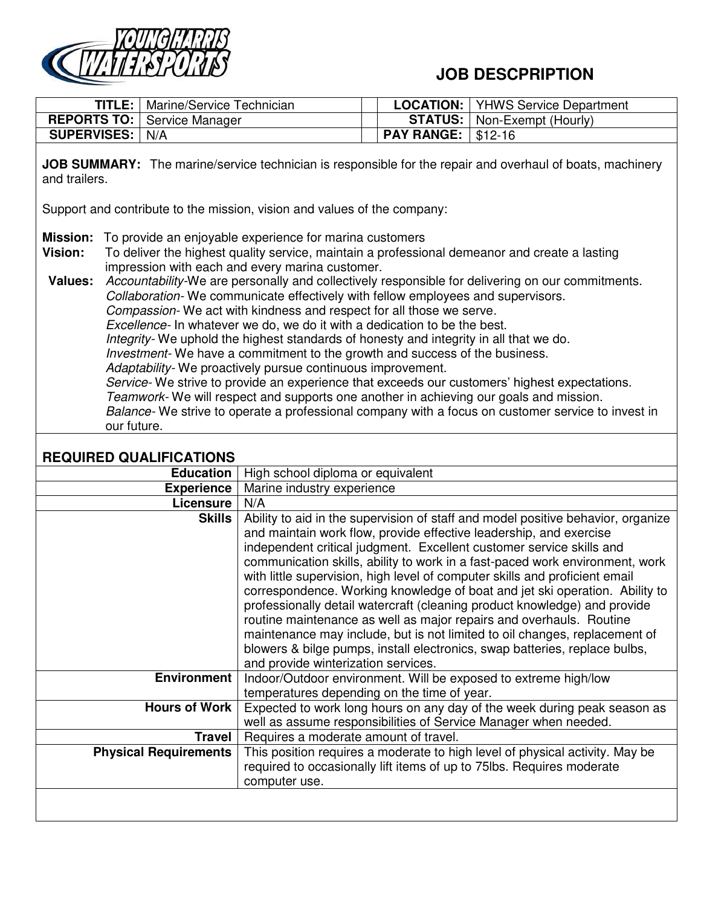

## **JOB DESCPRIPTION**

|                                                                                                                                                                                                               | $T$ TITLE:                                                                                                                                                                                                                                                                                                                                                                                                                                                                                                                                                                                                                                                                                                                                                                                                                                                                                                                                                                                                                                                                                                      | Marine/Service Technician    |                                             | <b>LOCATION:</b>  | <b>YHWS Service Department</b>                                                                                                                                                                                                                                                                                                                                                                                                                                                                                                                                                                                                                                                                                                                                                               |  |
|---------------------------------------------------------------------------------------------------------------------------------------------------------------------------------------------------------------|-----------------------------------------------------------------------------------------------------------------------------------------------------------------------------------------------------------------------------------------------------------------------------------------------------------------------------------------------------------------------------------------------------------------------------------------------------------------------------------------------------------------------------------------------------------------------------------------------------------------------------------------------------------------------------------------------------------------------------------------------------------------------------------------------------------------------------------------------------------------------------------------------------------------------------------------------------------------------------------------------------------------------------------------------------------------------------------------------------------------|------------------------------|---------------------------------------------|-------------------|----------------------------------------------------------------------------------------------------------------------------------------------------------------------------------------------------------------------------------------------------------------------------------------------------------------------------------------------------------------------------------------------------------------------------------------------------------------------------------------------------------------------------------------------------------------------------------------------------------------------------------------------------------------------------------------------------------------------------------------------------------------------------------------------|--|
| <b>REPORTS TO:</b>                                                                                                                                                                                            |                                                                                                                                                                                                                                                                                                                                                                                                                                                                                                                                                                                                                                                                                                                                                                                                                                                                                                                                                                                                                                                                                                                 | Service Manager              |                                             | <b>STATUS:</b>    | Non-Exempt (Hourly)                                                                                                                                                                                                                                                                                                                                                                                                                                                                                                                                                                                                                                                                                                                                                                          |  |
| <b>SUPERVISES:</b>                                                                                                                                                                                            |                                                                                                                                                                                                                                                                                                                                                                                                                                                                                                                                                                                                                                                                                                                                                                                                                                                                                                                                                                                                                                                                                                                 | N/A                          |                                             | <b>PAY RANGE:</b> | $$12-16$                                                                                                                                                                                                                                                                                                                                                                                                                                                                                                                                                                                                                                                                                                                                                                                     |  |
| <b>JOB SUMMARY:</b> The marine/service technician is responsible for the repair and overhaul of boats, machinery<br>and trailers.<br>Support and contribute to the mission, vision and values of the company: |                                                                                                                                                                                                                                                                                                                                                                                                                                                                                                                                                                                                                                                                                                                                                                                                                                                                                                                                                                                                                                                                                                                 |                              |                                             |                   |                                                                                                                                                                                                                                                                                                                                                                                                                                                                                                                                                                                                                                                                                                                                                                                              |  |
| <b>Mission:</b><br>Vision:<br><b>Values:</b>                                                                                                                                                                  | To provide an enjoyable experience for marina customers<br>To deliver the highest quality service, maintain a professional demeanor and create a lasting<br>impression with each and every marina customer.<br>Accountability-We are personally and collectively responsible for delivering on our commitments.<br>Collaboration- We communicate effectively with fellow employees and supervisors.<br>Compassion-We act with kindness and respect for all those we serve.<br>Excellence- In whatever we do, we do it with a dedication to be the best.<br>Integrity- We uphold the highest standards of honesty and integrity in all that we do.<br>Investment- We have a commitment to the growth and success of the business.<br>Adaptability- We proactively pursue continuous improvement.<br>Service- We strive to provide an experience that exceeds our customers' highest expectations.<br>Teamwork- We will respect and supports one another in achieving our goals and mission.<br>Balance- We strive to operate a professional company with a focus on customer service to invest in<br>our future. |                              |                                             |                   |                                                                                                                                                                                                                                                                                                                                                                                                                                                                                                                                                                                                                                                                                                                                                                                              |  |
| <b>REQUIRED QUALIFICATIONS</b>                                                                                                                                                                                |                                                                                                                                                                                                                                                                                                                                                                                                                                                                                                                                                                                                                                                                                                                                                                                                                                                                                                                                                                                                                                                                                                                 |                              |                                             |                   |                                                                                                                                                                                                                                                                                                                                                                                                                                                                                                                                                                                                                                                                                                                                                                                              |  |
|                                                                                                                                                                                                               |                                                                                                                                                                                                                                                                                                                                                                                                                                                                                                                                                                                                                                                                                                                                                                                                                                                                                                                                                                                                                                                                                                                 | <b>Education</b>             | High school diploma or equivalent           |                   |                                                                                                                                                                                                                                                                                                                                                                                                                                                                                                                                                                                                                                                                                                                                                                                              |  |
|                                                                                                                                                                                                               |                                                                                                                                                                                                                                                                                                                                                                                                                                                                                                                                                                                                                                                                                                                                                                                                                                                                                                                                                                                                                                                                                                                 | <b>Experience</b>            | Marine industry experience                  |                   |                                                                                                                                                                                                                                                                                                                                                                                                                                                                                                                                                                                                                                                                                                                                                                                              |  |
|                                                                                                                                                                                                               |                                                                                                                                                                                                                                                                                                                                                                                                                                                                                                                                                                                                                                                                                                                                                                                                                                                                                                                                                                                                                                                                                                                 | Licensure                    | N/A                                         |                   |                                                                                                                                                                                                                                                                                                                                                                                                                                                                                                                                                                                                                                                                                                                                                                                              |  |
|                                                                                                                                                                                                               |                                                                                                                                                                                                                                                                                                                                                                                                                                                                                                                                                                                                                                                                                                                                                                                                                                                                                                                                                                                                                                                                                                                 | <b>Skills</b>                | and provide winterization services.         |                   | Ability to aid in the supervision of staff and model positive behavior, organize<br>and maintain work flow, provide effective leadership, and exercise<br>independent critical judgment. Excellent customer service skills and<br>communication skills, ability to work in a fast-paced work environment, work<br>with little supervision, high level of computer skills and proficient email<br>correspondence. Working knowledge of boat and jet ski operation. Ability to<br>professionally detail watercraft (cleaning product knowledge) and provide<br>routine maintenance as well as major repairs and overhauls. Routine<br>maintenance may include, but is not limited to oil changes, replacement of<br>blowers & bilge pumps, install electronics, swap batteries, replace bulbs, |  |
|                                                                                                                                                                                                               |                                                                                                                                                                                                                                                                                                                                                                                                                                                                                                                                                                                                                                                                                                                                                                                                                                                                                                                                                                                                                                                                                                                 | <b>Environment</b>           | temperatures depending on the time of year. |                   | Indoor/Outdoor environment. Will be exposed to extreme high/low                                                                                                                                                                                                                                                                                                                                                                                                                                                                                                                                                                                                                                                                                                                              |  |
|                                                                                                                                                                                                               |                                                                                                                                                                                                                                                                                                                                                                                                                                                                                                                                                                                                                                                                                                                                                                                                                                                                                                                                                                                                                                                                                                                 | <b>Hours of Work</b>         |                                             |                   | Expected to work long hours on any day of the week during peak season as<br>well as assume responsibilities of Service Manager when needed.                                                                                                                                                                                                                                                                                                                                                                                                                                                                                                                                                                                                                                                  |  |
|                                                                                                                                                                                                               |                                                                                                                                                                                                                                                                                                                                                                                                                                                                                                                                                                                                                                                                                                                                                                                                                                                                                                                                                                                                                                                                                                                 | <b>Travel</b>                | Requires a moderate amount of travel.       |                   |                                                                                                                                                                                                                                                                                                                                                                                                                                                                                                                                                                                                                                                                                                                                                                                              |  |
|                                                                                                                                                                                                               |                                                                                                                                                                                                                                                                                                                                                                                                                                                                                                                                                                                                                                                                                                                                                                                                                                                                                                                                                                                                                                                                                                                 | <b>Physical Requirements</b> | computer use.                               |                   | This position requires a moderate to high level of physical activity. May be<br>required to occasionally lift items of up to 75lbs. Requires moderate                                                                                                                                                                                                                                                                                                                                                                                                                                                                                                                                                                                                                                        |  |
|                                                                                                                                                                                                               |                                                                                                                                                                                                                                                                                                                                                                                                                                                                                                                                                                                                                                                                                                                                                                                                                                                                                                                                                                                                                                                                                                                 |                              |                                             |                   |                                                                                                                                                                                                                                                                                                                                                                                                                                                                                                                                                                                                                                                                                                                                                                                              |  |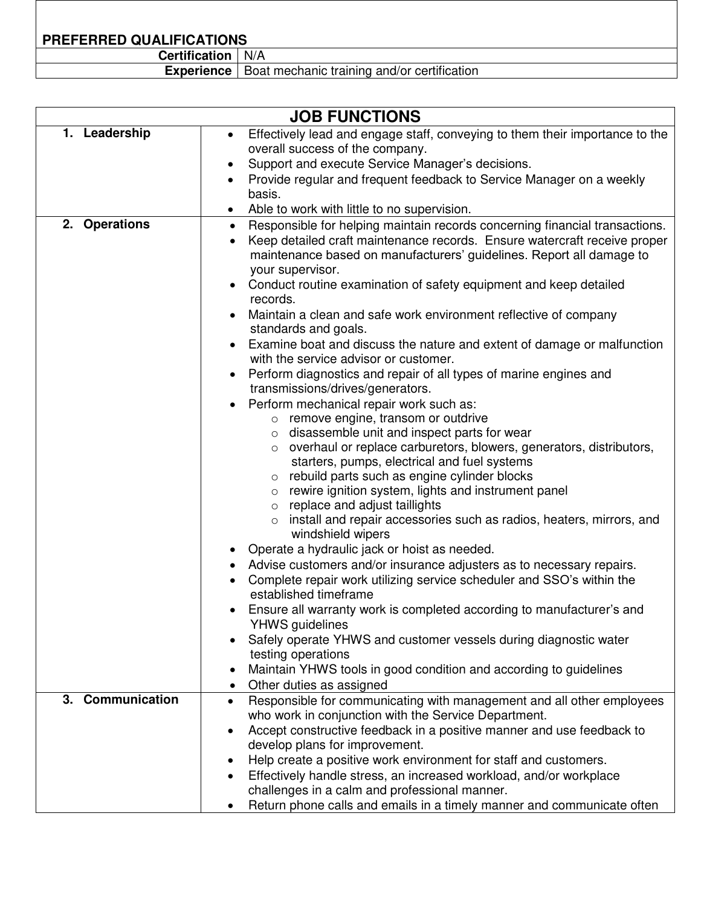**PREFERRED QUALIFICATIONS** 

**Certification** N/A

**Experience** | Boat mechanic training and/or certification

| <b>JOB FUNCTIONS</b> |                                                                                                                                                                                                                                                                                                                                                                                                                                                                                                                                                                                                                                                                                                                                                                                                                                                                                                                                                                                                         |  |  |  |  |
|----------------------|---------------------------------------------------------------------------------------------------------------------------------------------------------------------------------------------------------------------------------------------------------------------------------------------------------------------------------------------------------------------------------------------------------------------------------------------------------------------------------------------------------------------------------------------------------------------------------------------------------------------------------------------------------------------------------------------------------------------------------------------------------------------------------------------------------------------------------------------------------------------------------------------------------------------------------------------------------------------------------------------------------|--|--|--|--|
| 1. Leadership        | Effectively lead and engage staff, conveying to them their importance to the<br>$\bullet$                                                                                                                                                                                                                                                                                                                                                                                                                                                                                                                                                                                                                                                                                                                                                                                                                                                                                                               |  |  |  |  |
|                      | overall success of the company.                                                                                                                                                                                                                                                                                                                                                                                                                                                                                                                                                                                                                                                                                                                                                                                                                                                                                                                                                                         |  |  |  |  |
|                      | Support and execute Service Manager's decisions.<br>$\bullet$                                                                                                                                                                                                                                                                                                                                                                                                                                                                                                                                                                                                                                                                                                                                                                                                                                                                                                                                           |  |  |  |  |
|                      | Provide regular and frequent feedback to Service Manager on a weekly                                                                                                                                                                                                                                                                                                                                                                                                                                                                                                                                                                                                                                                                                                                                                                                                                                                                                                                                    |  |  |  |  |
|                      | basis.                                                                                                                                                                                                                                                                                                                                                                                                                                                                                                                                                                                                                                                                                                                                                                                                                                                                                                                                                                                                  |  |  |  |  |
|                      | Able to work with little to no supervision.<br>$\bullet$                                                                                                                                                                                                                                                                                                                                                                                                                                                                                                                                                                                                                                                                                                                                                                                                                                                                                                                                                |  |  |  |  |
| 2. Operations        | Responsible for helping maintain records concerning financial transactions.<br>$\bullet$<br>Keep detailed craft maintenance records. Ensure watercraft receive proper<br>$\bullet$<br>maintenance based on manufacturers' guidelines. Report all damage to<br>your supervisor.<br>Conduct routine examination of safety equipment and keep detailed<br>records.<br>Maintain a clean and safe work environment reflective of company<br>standards and goals.<br>Examine boat and discuss the nature and extent of damage or malfunction<br>with the service advisor or customer.<br>Perform diagnostics and repair of all types of marine engines and<br>transmissions/drives/generators.<br>Perform mechanical repair work such as:<br>o remove engine, transom or outdrive<br>o disassemble unit and inspect parts for wear<br>o overhaul or replace carburetors, blowers, generators, distributors,<br>starters, pumps, electrical and fuel systems<br>o rebuild parts such as engine cylinder blocks |  |  |  |  |
|                      | rewire ignition system, lights and instrument panel<br>$\circ$<br>$\circ$ replace and adjust taillights<br>install and repair accessories such as radios, heaters, mirrors, and<br>$\circ$                                                                                                                                                                                                                                                                                                                                                                                                                                                                                                                                                                                                                                                                                                                                                                                                              |  |  |  |  |
|                      | windshield wipers<br>Operate a hydraulic jack or hoist as needed.                                                                                                                                                                                                                                                                                                                                                                                                                                                                                                                                                                                                                                                                                                                                                                                                                                                                                                                                       |  |  |  |  |
|                      | Advise customers and/or insurance adjusters as to necessary repairs.                                                                                                                                                                                                                                                                                                                                                                                                                                                                                                                                                                                                                                                                                                                                                                                                                                                                                                                                    |  |  |  |  |
|                      | Complete repair work utilizing service scheduler and SSO's within the<br>established timeframe                                                                                                                                                                                                                                                                                                                                                                                                                                                                                                                                                                                                                                                                                                                                                                                                                                                                                                          |  |  |  |  |
|                      | Ensure all warranty work is completed according to manufacturer's and                                                                                                                                                                                                                                                                                                                                                                                                                                                                                                                                                                                                                                                                                                                                                                                                                                                                                                                                   |  |  |  |  |
|                      | <b>YHWS</b> guidelines                                                                                                                                                                                                                                                                                                                                                                                                                                                                                                                                                                                                                                                                                                                                                                                                                                                                                                                                                                                  |  |  |  |  |
|                      | Safely operate YHWS and customer vessels during diagnostic water                                                                                                                                                                                                                                                                                                                                                                                                                                                                                                                                                                                                                                                                                                                                                                                                                                                                                                                                        |  |  |  |  |
|                      | testing operations<br>Maintain YHWS tools in good condition and according to guidelines                                                                                                                                                                                                                                                                                                                                                                                                                                                                                                                                                                                                                                                                                                                                                                                                                                                                                                                 |  |  |  |  |
|                      | Other duties as assigned<br>$\bullet$                                                                                                                                                                                                                                                                                                                                                                                                                                                                                                                                                                                                                                                                                                                                                                                                                                                                                                                                                                   |  |  |  |  |
| 3. Communication     | Responsible for communicating with management and all other employees<br>$\bullet$                                                                                                                                                                                                                                                                                                                                                                                                                                                                                                                                                                                                                                                                                                                                                                                                                                                                                                                      |  |  |  |  |
|                      | who work in conjunction with the Service Department.                                                                                                                                                                                                                                                                                                                                                                                                                                                                                                                                                                                                                                                                                                                                                                                                                                                                                                                                                    |  |  |  |  |
|                      | Accept constructive feedback in a positive manner and use feedback to<br>$\bullet$                                                                                                                                                                                                                                                                                                                                                                                                                                                                                                                                                                                                                                                                                                                                                                                                                                                                                                                      |  |  |  |  |
|                      | develop plans for improvement.                                                                                                                                                                                                                                                                                                                                                                                                                                                                                                                                                                                                                                                                                                                                                                                                                                                                                                                                                                          |  |  |  |  |
|                      | Help create a positive work environment for staff and customers.<br>$\bullet$                                                                                                                                                                                                                                                                                                                                                                                                                                                                                                                                                                                                                                                                                                                                                                                                                                                                                                                           |  |  |  |  |
|                      | Effectively handle stress, an increased workload, and/or workplace<br>$\bullet$<br>challenges in a calm and professional manner.                                                                                                                                                                                                                                                                                                                                                                                                                                                                                                                                                                                                                                                                                                                                                                                                                                                                        |  |  |  |  |
|                      | Return phone calls and emails in a timely manner and communicate often                                                                                                                                                                                                                                                                                                                                                                                                                                                                                                                                                                                                                                                                                                                                                                                                                                                                                                                                  |  |  |  |  |